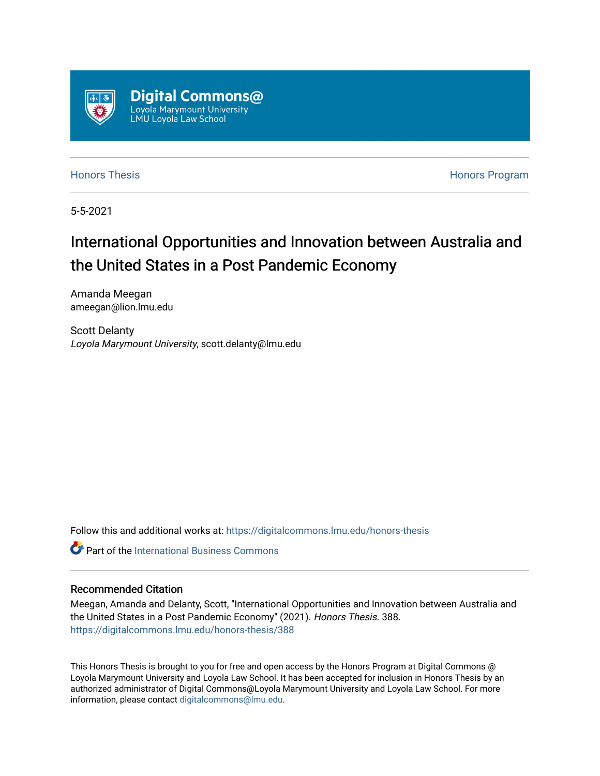

[Honors Thesis](https://digitalcommons.lmu.edu/honors-thesis) [Honors Program](https://digitalcommons.lmu.edu/lmu_honorsprogram) 

5-5-2021

## International Opportunities and Innovation between Australia and the United States in a Post Pandemic Economy

Amanda Meegan ameegan@lion.lmu.edu

Scott Delanty Loyola Marymount University, scott.delanty@lmu.edu

Follow this and additional works at: [https://digitalcommons.lmu.edu/honors-thesis](https://digitalcommons.lmu.edu/honors-thesis?utm_source=digitalcommons.lmu.edu%2Fhonors-thesis%2F388&utm_medium=PDF&utm_campaign=PDFCoverPages)

**C** Part of the International Business Commons

#### Recommended Citation

Meegan, Amanda and Delanty, Scott, "International Opportunities and Innovation between Australia and the United States in a Post Pandemic Economy" (2021). Honors Thesis. 388. [https://digitalcommons.lmu.edu/honors-thesis/388](https://digitalcommons.lmu.edu/honors-thesis/388?utm_source=digitalcommons.lmu.edu%2Fhonors-thesis%2F388&utm_medium=PDF&utm_campaign=PDFCoverPages) 

This Honors Thesis is brought to you for free and open access by the Honors Program at Digital Commons @ Loyola Marymount University and Loyola Law School. It has been accepted for inclusion in Honors Thesis by an authorized administrator of Digital Commons@Loyola Marymount University and Loyola Law School. For more information, please contact [digitalcommons@lmu.edu.](mailto:digitalcommons@lmu.edu)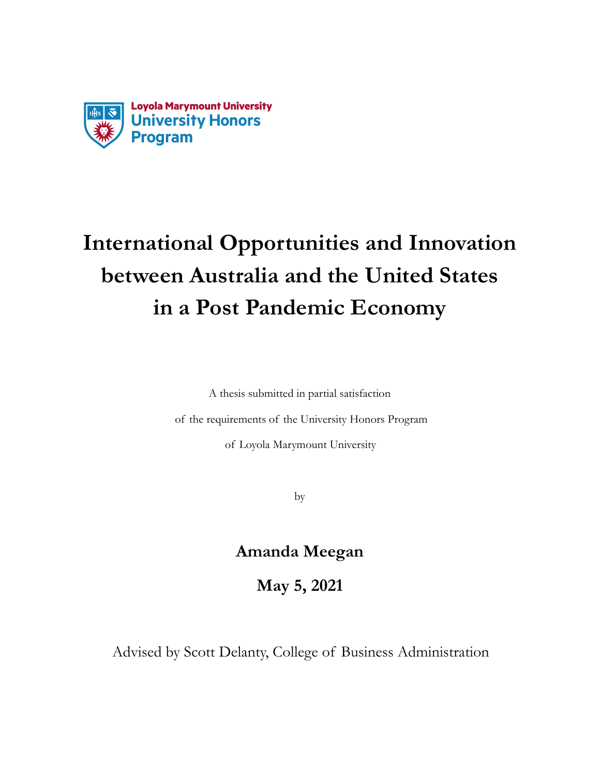

# **International Opportunities and Innovation between Australia and the United States** in a Post Pandemic Economy

A thesis submitted in partial satisfaction

of the requirements of the University Honors Program

of Loyola Marymount University

by

### **Amanda Meegan**

**May 5, 2021** 

Advised by Scott Delanty, College of Business Administration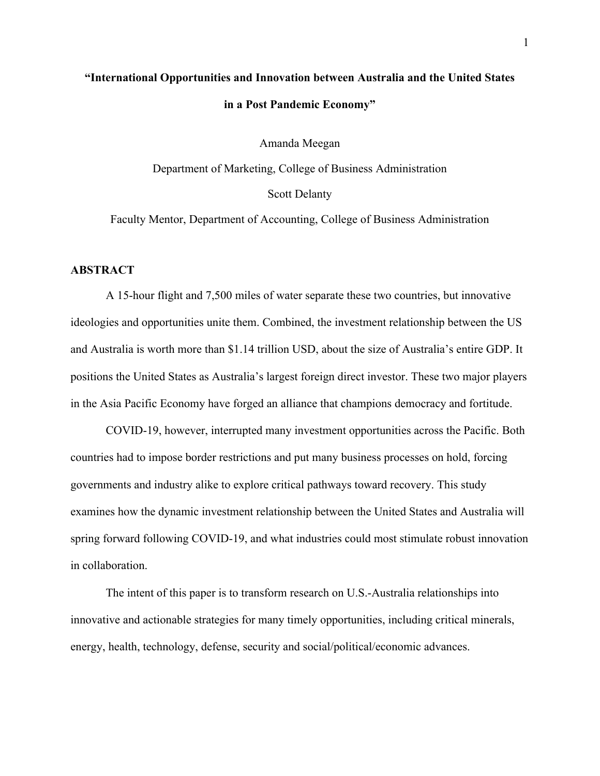## **"International Opportunities and Innovation between Australia and the United States in a Post Pandemic Economy"**

Amanda Meegan

Department of Marketing, College of Business Administration Scott Delanty

Faculty Mentor, Department of Accounting, College of Business Administration

#### **ABSTRACT**

A 15-hour flight and 7,500 miles of water separate these two countries, but innovative ideologies and opportunities unite them. Combined, the investment relationship between the US and Australia is worth more than \$1.14 trillion USD, about the size of Australia's entire GDP. It positions the United States as Australia's largest foreign direct investor. These two major players in the Asia Pacific Economy have forged an alliance that champions democracy and fortitude.

COVID-19, however, interrupted many investment opportunities across the Pacific. Both countries had to impose border restrictions and put many business processes on hold, forcing governments and industry alike to explore critical pathways toward recovery. This study examines how the dynamic investment relationship between the United States and Australia will spring forward following COVID-19, and what industries could most stimulate robust innovation in collaboration.

The intent of this paper is to transform research on U.S.-Australia relationships into innovative and actionable strategies for many timely opportunities, including critical minerals, energy, health, technology, defense, security and social/political/economic advances.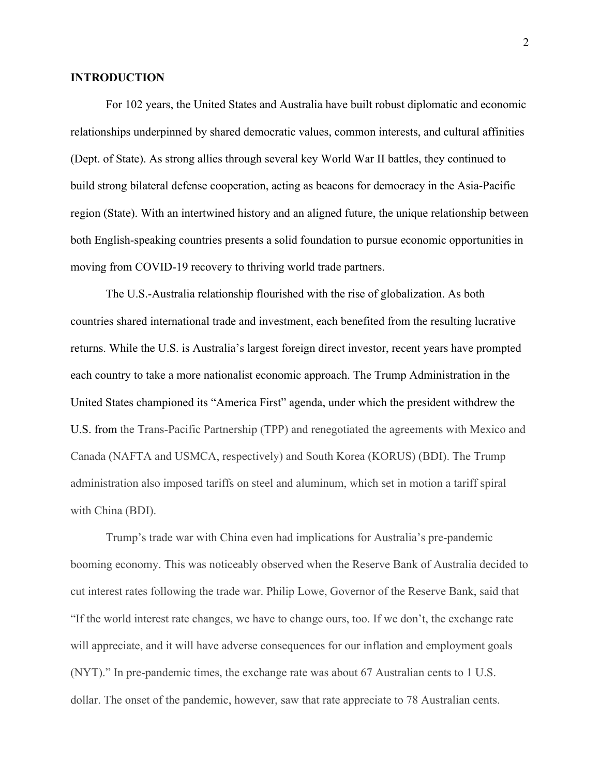#### **INTRODUCTION**

For 102 years, the United States and Australia have built robust diplomatic and economic relationships underpinned by shared democratic values, common interests, and cultural affinities (Dept. of State). As strong allies through several key World War II battles, they continued to build strong bilateral defense cooperation, acting as beacons for democracy in the Asia-Pacific region (State). With an intertwined history and an aligned future, the unique relationship between both English-speaking countries presents a solid foundation to pursue economic opportunities in moving from COVID-19 recovery to thriving world trade partners.

The U.S.-Australia relationship flourished with the rise of globalization. As both countries shared international trade and investment, each benefited from the resulting lucrative returns. While the U.S. is Australia's largest foreign direct investor, recent years have prompted each country to take a more nationalist economic approach. The Trump Administration in the United States championed its "America First" agenda, under which the president withdrew the U.S. from the Trans-Pacific Partnership (TPP) and renegotiated the agreements with Mexico and Canada (NAFTA and USMCA, respectively) and South Korea (KORUS) (BDI). The Trump administration also imposed tariffs on steel and aluminum, which set in motion a tariff spiral with China (BDI).

Trump's trade war with China even had implications for Australia's pre-pandemic booming economy. This was noticeably observed when the Reserve Bank of Australia decided to cut interest rates following the trade war. Philip Lowe, Governor of the Reserve Bank, said that "If the world interest rate changes, we have to change ours, too. If we don't, the exchange rate will appreciate, and it will have adverse consequences for our inflation and employment goals (NYT)." In pre-pandemic times, the exchange rate was about 67 Australian cents to 1 U.S. dollar. The onset of the pandemic, however, saw that rate appreciate to 78 Australian cents.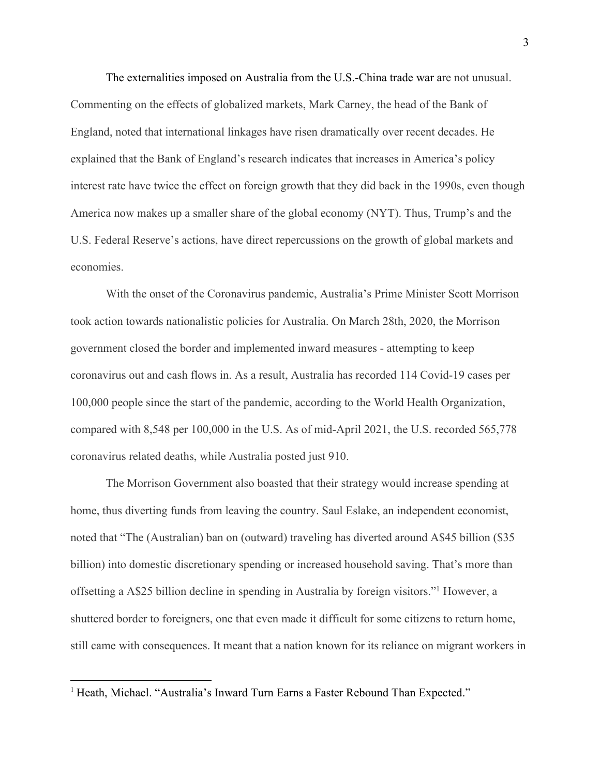The externalities imposed on Australia from the U.S.-China trade war are not unusual. Commenting on the effects of globalized markets, Mark Carney, the head of the Bank of England, noted that international linkages have risen dramatically over recent decades. He explained that the Bank of England's research indicates that increases in America's policy interest rate have twice the effect on foreign growth that they did back in the 1990s, even though America now makes up a smaller share of the global economy (NYT). Thus, Trump's and the U.S. Federal Reserve's actions, have direct repercussions on the growth of global markets and economies.

With the onset of the Coronavirus pandemic, Australia's Prime Minister Scott Morrison took action towards nationalistic policies for Australia. On March 28th, 2020, the Morrison government closed the border and implemented inward measures - attempting to keep coronavirus out and cash flows in. As a result, Australia has recorded 114 Covid-19 cases per 100,000 people since the start of the pandemic, according to the World Health Organization, compared with 8,548 per 100,000 in the U.S. As of mid-April 2021, the U.S. recorded 565,778 coronavirus related deaths, while Australia posted just 910.

The Morrison Government also boasted that their strategy would increase spending at home, thus diverting funds from leaving the country. Saul Eslake, an independent economist, noted that "The (Australian) ban on (outward) traveling has diverted around A\$45 billion (\$35 billion) into domestic discretionary spending or increased household saving. That's more than offsetting a A\$25 billion decline in spending in Australia by foreign visitors."1 However, a shuttered border to foreigners, one that even made it difficult for some citizens to return home, still came with consequences. It meant that a nation known for its reliance on migrant workers in

<sup>&</sup>lt;sup>1</sup> Heath, Michael. "Australia's Inward Turn Earns a Faster Rebound Than Expected."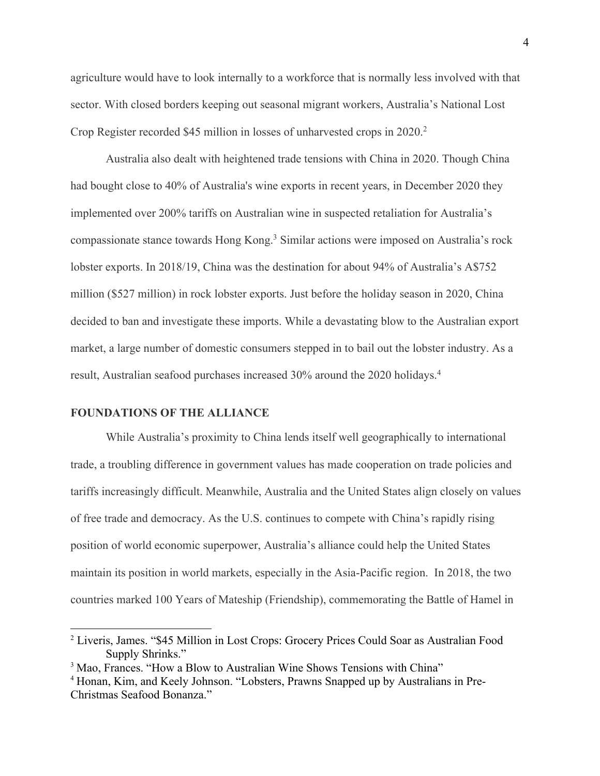agriculture would have to look internally to a workforce that is normally less involved with that sector. With closed borders keeping out seasonal migrant workers, Australia's National Lost Crop Register recorded \$45 million in losses of unharvested crops in 2020.<sup>2</sup>

Australia also dealt with heightened trade tensions with China in 2020. Though China had bought close to 40% of Australia's wine exports in recent years, in December 2020 they implemented over 200% tariffs on Australian wine in suspected retaliation for Australia's compassionate stance towards Hong Kong.3 Similar actions were imposed on Australia's rock lobster exports. In 2018/19, China was the destination for about 94% of Australia's A\$752 million (\$527 million) in rock lobster exports. Just before the holiday season in 2020, China decided to ban and investigate these imports. While a devastating blow to the Australian export market, a large number of domestic consumers stepped in to bail out the lobster industry. As a result, Australian seafood purchases increased 30% around the 2020 holidays.4

#### **FOUNDATIONS OF THE ALLIANCE**

While Australia's proximity to China lends itself well geographically to international trade, a troubling difference in government values has made cooperation on trade policies and tariffs increasingly difficult. Meanwhile, Australia and the United States align closely on values of free trade and democracy. As the U.S. continues to compete with China's rapidly rising position of world economic superpower, Australia's alliance could help the United States maintain its position in world markets, especially in the Asia-Pacific region. In 2018, the two countries marked 100 Years of Mateship (Friendship), commemorating the Battle of Hamel in

<sup>2</sup> Liveris, James. "\$45 Million in Lost Crops: Grocery Prices Could Soar as Australian Food Supply Shrinks."

<sup>&</sup>lt;sup>3</sup> Mao, Frances. "How a Blow to Australian Wine Shows Tensions with China"

<sup>4</sup> Honan, Kim, and Keely Johnson. "Lobsters, Prawns Snapped up by Australians in Pre-Christmas Seafood Bonanza."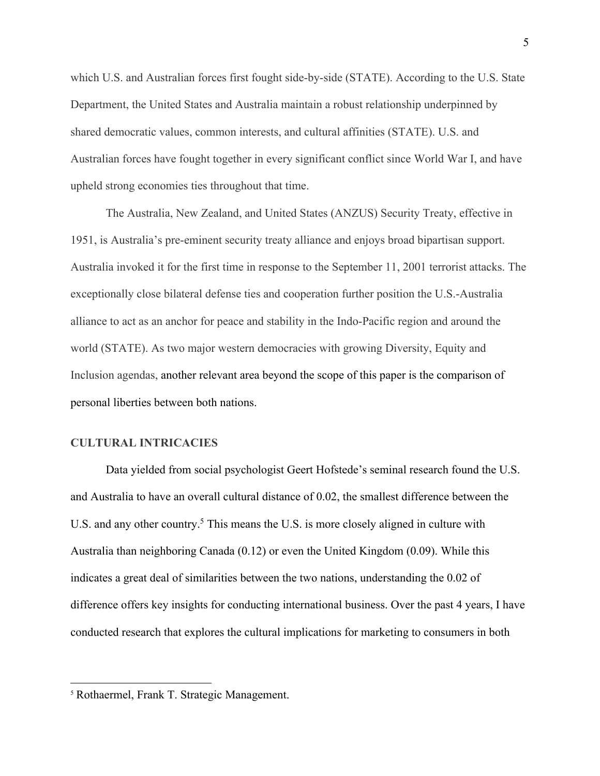which U.S. and Australian forces first fought side-by-side (STATE). According to the U.S. State Department, the United States and Australia maintain a robust relationship underpinned by shared democratic values, common interests, and cultural affinities (STATE). U.S. and Australian forces have fought together in every significant conflict since World War I, and have upheld strong economies ties throughout that time.

The Australia, New Zealand, and United States (ANZUS) Security Treaty, effective in 1951, is Australia's pre-eminent security treaty alliance and enjoys broad bipartisan support. Australia invoked it for the first time in response to the September 11, 2001 terrorist attacks. The exceptionally close bilateral defense ties and cooperation further position the U.S.-Australia alliance to act as an anchor for peace and stability in the Indo-Pacific region and around the world (STATE). As two major western democracies with growing Diversity, Equity and Inclusion agendas, another relevant area beyond the scope of this paper is the comparison of personal liberties between both nations.

#### **CULTURAL INTRICACIES**

Data yielded from social psychologist Geert Hofstede's seminal research found the U.S. and Australia to have an overall cultural distance of 0.02, the smallest difference between the U.S. and any other country.<sup>5</sup> This means the U.S. is more closely aligned in culture with Australia than neighboring Canada (0.12) or even the United Kingdom (0.09). While this indicates a great deal of similarities between the two nations, understanding the 0.02 of difference offers key insights for conducting international business. Over the past 4 years, I have conducted research that explores the cultural implications for marketing to consumers in both

<sup>5</sup> Rothaermel, Frank T. Strategic Management.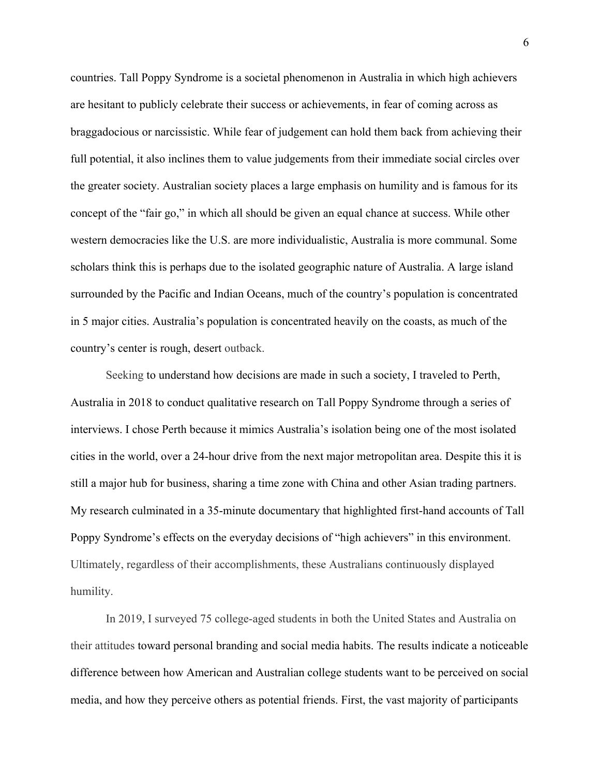countries. Tall Poppy Syndrome is a societal phenomenon in Australia in which high achievers are hesitant to publicly celebrate their success or achievements, in fear of coming across as braggadocious or narcissistic. While fear of judgement can hold them back from achieving their full potential, it also inclines them to value judgements from their immediate social circles over the greater society. Australian society places a large emphasis on humility and is famous for its concept of the "fair go," in which all should be given an equal chance at success. While other western democracies like the U.S. are more individualistic, Australia is more communal. Some scholars think this is perhaps due to the isolated geographic nature of Australia. A large island surrounded by the Pacific and Indian Oceans, much of the country's population is concentrated in 5 major cities. Australia's population is concentrated heavily on the coasts, as much of the country's center is rough, desert outback.

Seeking to understand how decisions are made in such a society, I traveled to Perth, Australia in 2018 to conduct qualitative research on Tall Poppy Syndrome through a series of interviews. I chose Perth because it mimics Australia's isolation being one of the most isolated cities in the world, over a 24-hour drive from the next major metropolitan area. Despite this it is still a major hub for business, sharing a time zone with China and other Asian trading partners. My research culminated in a 35-minute documentary that highlighted first-hand accounts of Tall Poppy Syndrome's effects on the everyday decisions of "high achievers" in this environment. Ultimately, regardless of their accomplishments, these Australians continuously displayed humility.

In 2019, I surveyed 75 college-aged students in both the United States and Australia on their attitudes toward personal branding and social media habits. The results indicate a noticeable difference between how American and Australian college students want to be perceived on social media, and how they perceive others as potential friends. First, the vast majority of participants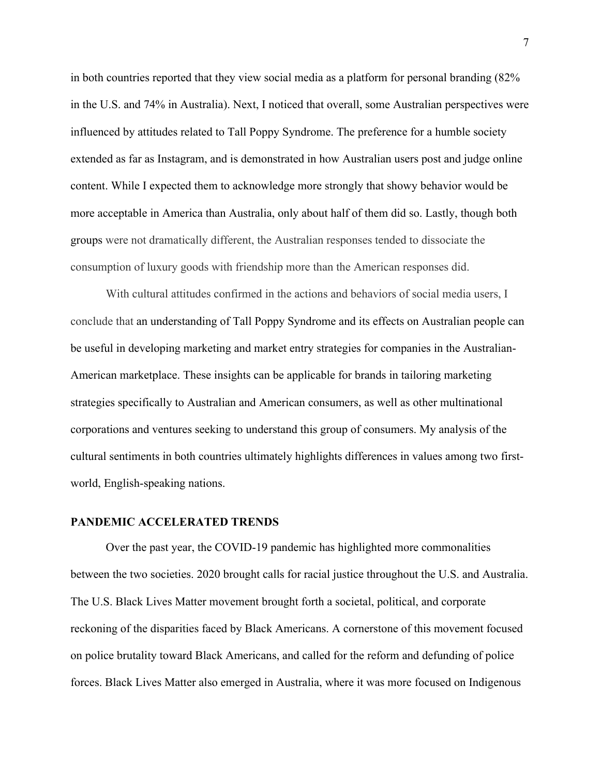in both countries reported that they view social media as a platform for personal branding (82% in the U.S. and 74% in Australia). Next, I noticed that overall, some Australian perspectives were influenced by attitudes related to Tall Poppy Syndrome. The preference for a humble society extended as far as Instagram, and is demonstrated in how Australian users post and judge online content. While I expected them to acknowledge more strongly that showy behavior would be more acceptable in America than Australia, only about half of them did so. Lastly, though both groups were not dramatically different, the Australian responses tended to dissociate the consumption of luxury goods with friendship more than the American responses did.

With cultural attitudes confirmed in the actions and behaviors of social media users, I conclude that an understanding of Tall Poppy Syndrome and its effects on Australian people can be useful in developing marketing and market entry strategies for companies in the Australian-American marketplace. These insights can be applicable for brands in tailoring marketing strategies specifically to Australian and American consumers, as well as other multinational corporations and ventures seeking to understand this group of consumers. My analysis of the cultural sentiments in both countries ultimately highlights differences in values among two firstworld, English-speaking nations.

#### **PANDEMIC ACCELERATED TRENDS**

Over the past year, the COVID-19 pandemic has highlighted more commonalities between the two societies. 2020 brought calls for racial justice throughout the U.S. and Australia. The U.S. Black Lives Matter movement brought forth a societal, political, and corporate reckoning of the disparities faced by Black Americans. A cornerstone of this movement focused on police brutality toward Black Americans, and called for the reform and defunding of police forces. Black Lives Matter also emerged in Australia, where it was more focused on Indigenous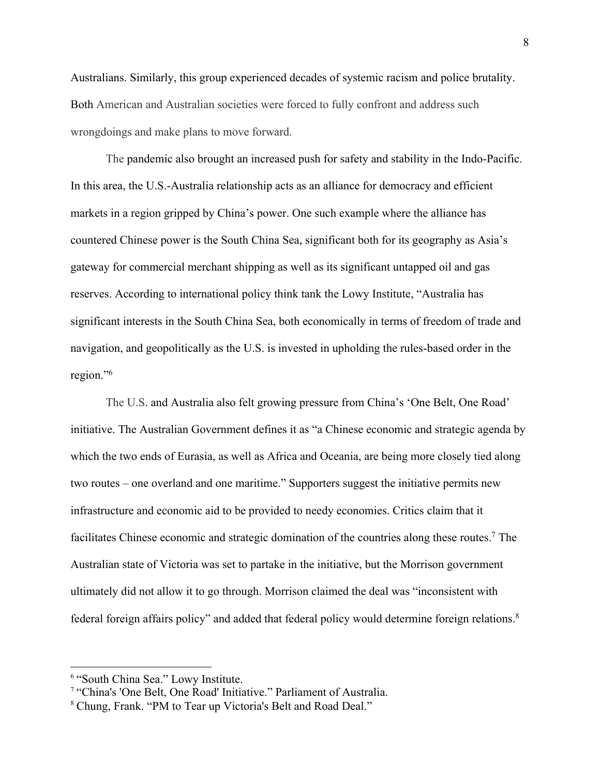Australians. Similarly, this group experienced decades of systemic racism and police brutality. Both American and Australian societies were forced to fully confront and address such wrongdoings and make plans to move forward.

The pandemic also brought an increased push for safety and stability in the Indo-Pacific. In this area, the U.S.-Australia relationship acts as an alliance for democracy and efficient markets in a region gripped by China's power. One such example where the alliance has countered Chinese power is the South China Sea, significant both for its geography as Asia's gateway for commercial merchant shipping as well as its significant untapped oil and gas reserves. According to international policy think tank the Lowy Institute, "Australia has significant interests in the South China Sea, both economically in terms of freedom of trade and navigation, and geopolitically as the U.S. is invested in upholding the rules-based order in the region."6

The U.S. and Australia also felt growing pressure from China's 'One Belt, One Road' initiative. The Australian Government defines it as "a Chinese economic and strategic agenda by which the two ends of Eurasia, as well as Africa and Oceania, are being more closely tied along two routes – one overland and one maritime." Supporters suggest the initiative permits new infrastructure and economic aid to be provided to needy economies. Critics claim that it facilitates Chinese economic and strategic domination of the countries along these routes.7 The Australian state of Victoria was set to partake in the initiative, but the Morrison government ultimately did not allow it to go through. Morrison claimed the deal was "inconsistent with federal foreign affairs policy" and added that federal policy would determine foreign relations.<sup>8</sup>

<sup>6</sup> "South China Sea." Lowy Institute.

<sup>&</sup>lt;sup>7</sup> "China's 'One Belt, One Road' Initiative." Parliament of Australia.

<sup>8</sup> Chung, Frank. "PM to Tear up Victoria's Belt and Road Deal."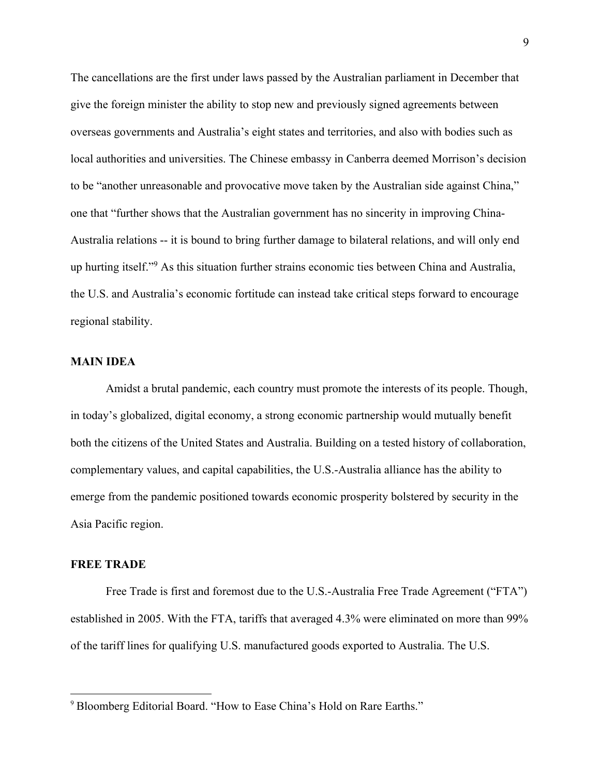The cancellations are the first under laws passed by the Australian parliament in December that give the foreign minister the ability to stop new and previously signed agreements between overseas governments and Australia's eight states and territories, and also with bodies such as local authorities and universities. The Chinese embassy in Canberra deemed Morrison's decision to be "another unreasonable and provocative move taken by the Australian side against China," one that "further shows that the Australian government has no sincerity in improving China-Australia relations -- it is bound to bring further damage to bilateral relations, and will only end up hurting itself."9 As this situation further strains economic ties between China and Australia, the U.S. and Australia's economic fortitude can instead take critical steps forward to encourage regional stability.

#### **MAIN IDEA**

Amidst a brutal pandemic, each country must promote the interests of its people. Though, in today's globalized, digital economy, a strong economic partnership would mutually benefit both the citizens of the United States and Australia. Building on a tested history of collaboration, complementary values, and capital capabilities, the U.S.-Australia alliance has the ability to emerge from the pandemic positioned towards economic prosperity bolstered by security in the Asia Pacific region.

#### **FREE TRADE**

Free Trade is first and foremost due to the U.S.-Australia Free Trade Agreement ("FTA") established in 2005. With the FTA, tariffs that averaged 4.3% were eliminated on more than 99% of the tariff lines for qualifying U.S. manufactured goods exported to Australia. The U.S.

<sup>&</sup>lt;sup>9</sup> Bloomberg Editorial Board. "How to Ease China's Hold on Rare Earths."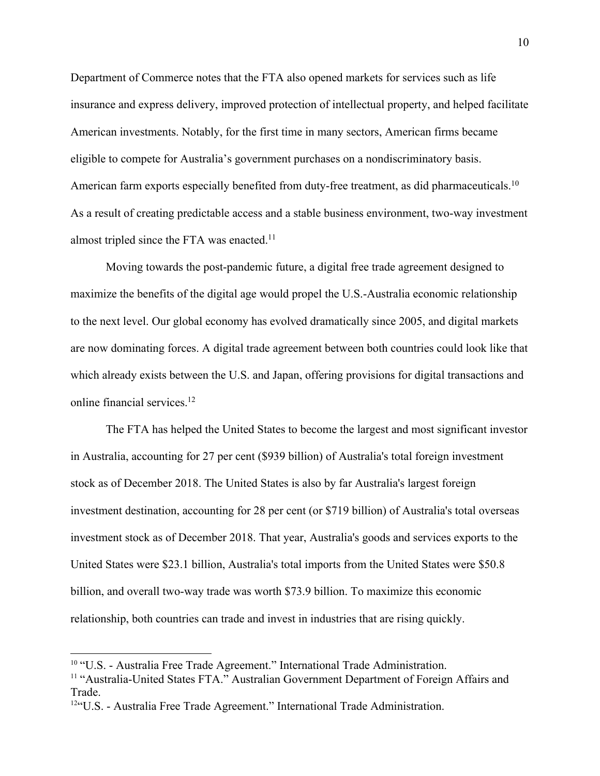Department of Commerce notes that the FTA also opened markets for services such as life insurance and express delivery, improved protection of intellectual property, and helped facilitate American investments. Notably, for the first time in many sectors, American firms became eligible to compete for Australia's government purchases on a nondiscriminatory basis. American farm exports especially benefited from duty-free treatment, as did pharmaceuticals.<sup>10</sup> As a result of creating predictable access and a stable business environment, two-way investment almost tripled since the FTA was enacted.<sup>11</sup>

Moving towards the post-pandemic future, a digital free trade agreement designed to maximize the benefits of the digital age would propel the U.S.-Australia economic relationship to the next level. Our global economy has evolved dramatically since 2005, and digital markets are now dominating forces. A digital trade agreement between both countries could look like that which already exists between the U.S. and Japan, offering provisions for digital transactions and online financial services.<sup>12</sup>

The FTA has helped the United States to become the largest and most significant investor in Australia, accounting for 27 per cent (\$939 billion) of Australia's total foreign investment stock as of December 2018. The United States is also by far Australia's largest foreign investment destination, accounting for 28 per cent (or \$719 billion) of Australia's total overseas investment stock as of December 2018. That year, Australia's goods and services exports to the United States were \$23.1 billion, Australia's total imports from the United States were \$50.8 billion, and overall two-way trade was worth \$73.9 billion. To maximize this economic relationship, both countries can trade and invest in industries that are rising quickly.

<sup>&</sup>lt;sup>10</sup> "U.S. - Australia Free Trade Agreement." International Trade Administration.

<sup>&</sup>lt;sup>11</sup> "Australia-United States FTA." Australian Government Department of Foreign Affairs and Trade.

<sup>12&</sup>quot;U.S. - Australia Free Trade Agreement." International Trade Administration.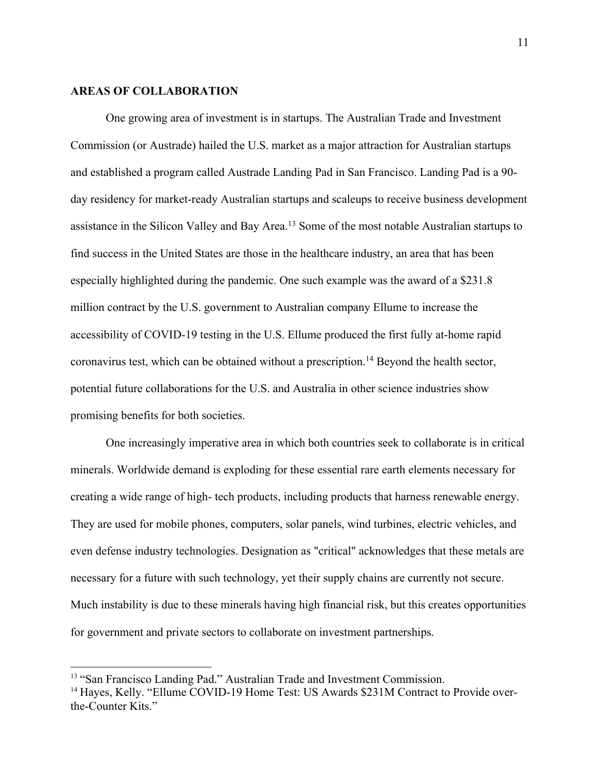#### **AREAS OF COLLABORATION**

One growing area of investment is in startups. The Australian Trade and Investment Commission (or Austrade) hailed the U.S. market as a major attraction for Australian startups and established a program called Austrade Landing Pad in San Francisco. Landing Pad is a 90 day residency for market-ready Australian startups and scaleups to receive business development assistance in the Silicon Valley and Bay Area.13 Some of the most notable Australian startups to find success in the United States are those in the healthcare industry, an area that has been especially highlighted during the pandemic. One such example was the award of a \$231.8 million contract by the U.S. government to Australian company Ellume to increase the accessibility of COVID-19 testing in the U.S. Ellume produced the first fully at-home rapid coronavirus test, which can be obtained without a prescription.14 Beyond the health sector, potential future collaborations for the U.S. and Australia in other science industries show promising benefits for both societies.

One increasingly imperative area in which both countries seek to collaborate is in critical minerals. Worldwide demand is exploding for these essential rare earth elements necessary for creating a wide range of high- tech products, including products that harness renewable energy. They are used for mobile phones, computers, solar panels, wind turbines, electric vehicles, and even defense industry technologies. Designation as "critical" acknowledges that these metals are necessary for a future with such technology, yet their supply chains are currently not secure. Much instability is due to these minerals having high financial risk, but this creates opportunities for government and private sectors to collaborate on investment partnerships.

<sup>&</sup>lt;sup>13</sup> "San Francisco Landing Pad." Australian Trade and Investment Commission.

<sup>&</sup>lt;sup>14</sup> Hayes, Kelly. "Ellume COVID-19 Home Test: US Awards \$231M Contract to Provide overthe-Counter Kits."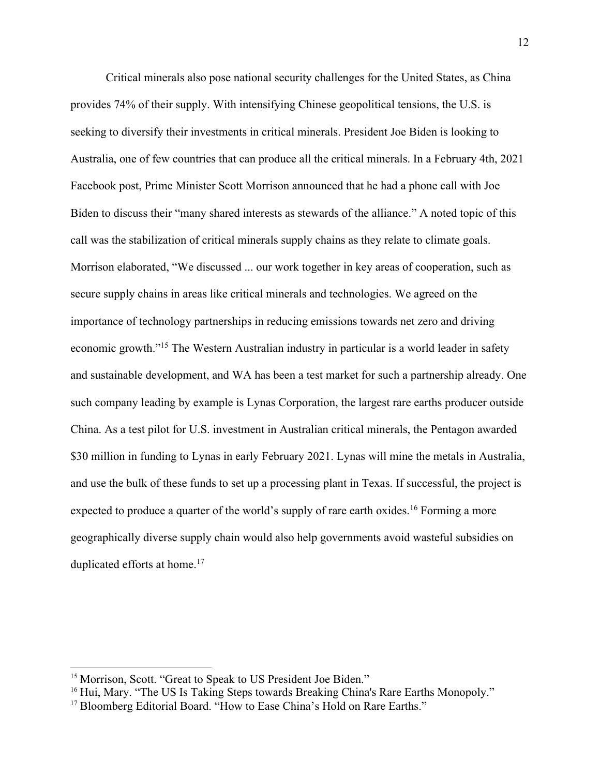Critical minerals also pose national security challenges for the United States, as China provides 74% of their supply. With intensifying Chinese geopolitical tensions, the U.S. is seeking to diversify their investments in critical minerals. President Joe Biden is looking to Australia, one of few countries that can produce all the critical minerals. In a February 4th, 2021 Facebook post, Prime Minister Scott Morrison announced that he had a phone call with Joe Biden to discuss their "many shared interests as stewards of the alliance." A noted topic of this call was the stabilization of critical minerals supply chains as they relate to climate goals. Morrison elaborated, "We discussed ... our work together in key areas of cooperation, such as secure supply chains in areas like critical minerals and technologies. We agreed on the importance of technology partnerships in reducing emissions towards net zero and driving economic growth."15 The Western Australian industry in particular is a world leader in safety and sustainable development, and WA has been a test market for such a partnership already. One such company leading by example is Lynas Corporation, the largest rare earths producer outside China. As a test pilot for U.S. investment in Australian critical minerals, the Pentagon awarded \$30 million in funding to Lynas in early February 2021. Lynas will mine the metals in Australia, and use the bulk of these funds to set up a processing plant in Texas. If successful, the project is expected to produce a quarter of the world's supply of rare earth oxides.<sup>16</sup> Forming a more geographically diverse supply chain would also help governments avoid wasteful subsidies on duplicated efforts at home.<sup>17</sup>

<sup>&</sup>lt;sup>15</sup> Morrison, Scott. "Great to Speak to US President Joe Biden."

<sup>&</sup>lt;sup>16</sup> Hui, Mary. "The US Is Taking Steps towards Breaking China's Rare Earths Monopoly."

<sup>&</sup>lt;sup>17</sup> Bloomberg Editorial Board. "How to Ease China's Hold on Rare Earths."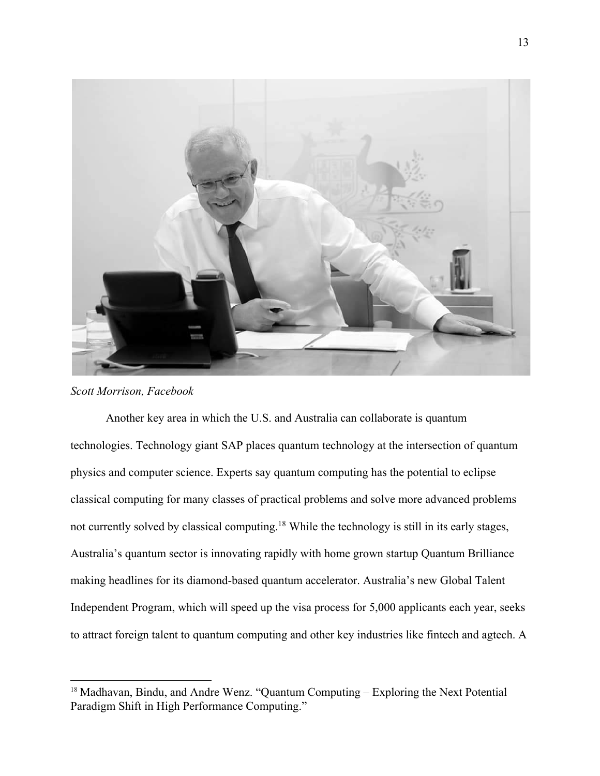

*Scott Morrison, Facebook*

Another key area in which the U.S. and Australia can collaborate is quantum technologies. Technology giant SAP places quantum technology at the intersection of quantum physics and computer science. Experts say quantum computing has the potential to eclipse classical computing for many classes of practical problems and solve more advanced problems not currently solved by classical computing.18 While the technology is still in its early stages, Australia's quantum sector is innovating rapidly with home grown startup Quantum Brilliance making headlines for its diamond-based quantum accelerator. Australia's new Global Talent Independent Program, which will speed up the visa process for 5,000 applicants each year, seeks to attract foreign talent to quantum computing and other key industries like fintech and agtech. A

<sup>&</sup>lt;sup>18</sup> Madhavan, Bindu, and Andre Wenz. "Quantum Computing – Exploring the Next Potential Paradigm Shift in High Performance Computing."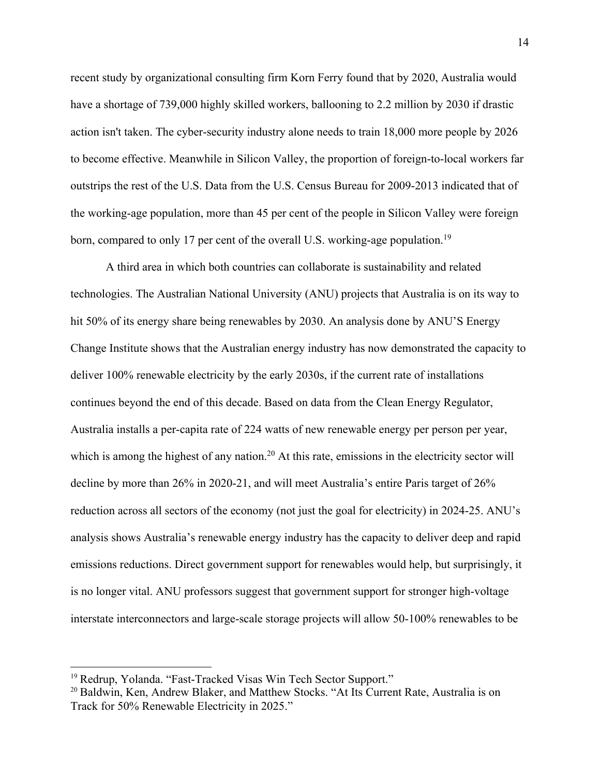recent study by organizational consulting firm Korn Ferry found that by 2020, Australia would have a shortage of 739,000 highly skilled workers, ballooning to 2.2 million by 2030 if drastic action isn't taken. The cyber-security industry alone needs to train 18,000 more people by 2026 to become effective. Meanwhile in Silicon Valley, the proportion of foreign-to-local workers far outstrips the rest of the U.S. Data from the U.S. Census Bureau for 2009-2013 indicated that of the working-age population, more than 45 per cent of the people in Silicon Valley were foreign born, compared to only 17 per cent of the overall U.S. working-age population.<sup>19</sup>

A third area in which both countries can collaborate is sustainability and related technologies. The Australian National University (ANU) projects that Australia is on its way to hit 50% of its energy share being renewables by 2030. An analysis done by ANU'S Energy Change Institute shows that the Australian energy industry has now demonstrated the capacity to deliver 100% renewable electricity by the early 2030s, if the current rate of installations continues beyond the end of this decade. Based on data from the Clean Energy Regulator, Australia installs a per-capita rate of 224 watts of new renewable energy per person per year, which is among the highest of any nation.<sup>20</sup> At this rate, emissions in the electricity sector will decline by more than 26% in 2020-21, and will meet Australia's entire Paris target of 26% reduction across all sectors of the economy (not just the goal for electricity) in 2024-25. ANU's analysis shows Australia's renewable energy industry has the capacity to deliver deep and rapid emissions reductions. Direct government support for renewables would help, but surprisingly, it is no longer vital. ANU professors suggest that government support for stronger high-voltage interstate interconnectors and large-scale storage projects will allow 50-100% renewables to be

<sup>&</sup>lt;sup>19</sup> Redrup, Yolanda. "Fast-Tracked Visas Win Tech Sector Support."

<sup>&</sup>lt;sup>20</sup> Baldwin, Ken, Andrew Blaker, and Matthew Stocks. "At Its Current Rate, Australia is on Track for 50% Renewable Electricity in 2025."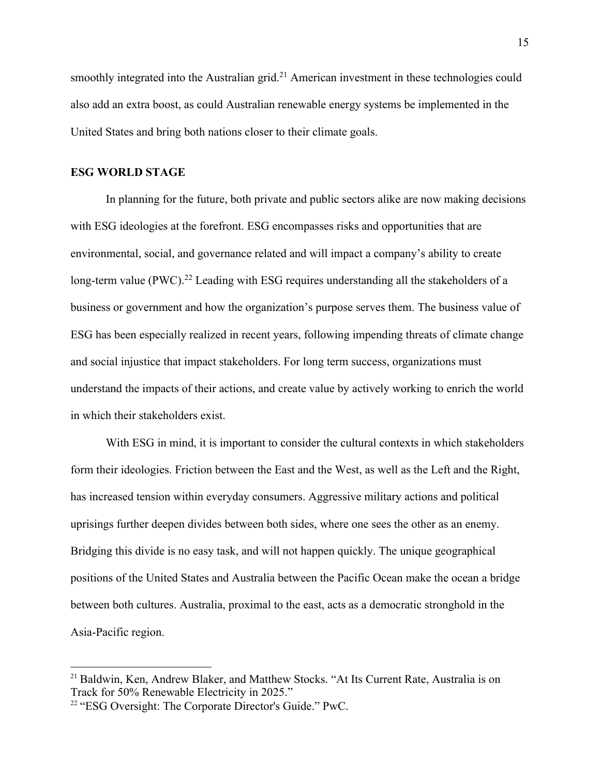smoothly integrated into the Australian grid.<sup>21</sup> American investment in these technologies could also add an extra boost, as could Australian renewable energy systems be implemented in the United States and bring both nations closer to their climate goals.

#### **ESG WORLD STAGE**

In planning for the future, both private and public sectors alike are now making decisions with ESG ideologies at the forefront. ESG encompasses risks and opportunities that are environmental, social, and governance related and will impact a company's ability to create long-term value (PWC).<sup>22</sup> Leading with ESG requires understanding all the stakeholders of a business or government and how the organization's purpose serves them. The business value of ESG has been especially realized in recent years, following impending threats of climate change and social injustice that impact stakeholders. For long term success, organizations must understand the impacts of their actions, and create value by actively working to enrich the world in which their stakeholders exist.

With ESG in mind, it is important to consider the cultural contexts in which stakeholders form their ideologies. Friction between the East and the West, as well as the Left and the Right, has increased tension within everyday consumers. Aggressive military actions and political uprisings further deepen divides between both sides, where one sees the other as an enemy. Bridging this divide is no easy task, and will not happen quickly. The unique geographical positions of the United States and Australia between the Pacific Ocean make the ocean a bridge between both cultures. Australia, proximal to the east, acts as a democratic stronghold in the Asia-Pacific region.

<sup>&</sup>lt;sup>21</sup> Baldwin, Ken, Andrew Blaker, and Matthew Stocks. "At Its Current Rate, Australia is on Track for 50% Renewable Electricity in 2025."

<sup>&</sup>lt;sup>22</sup> "ESG Oversight: The Corporate Director's Guide." PwC.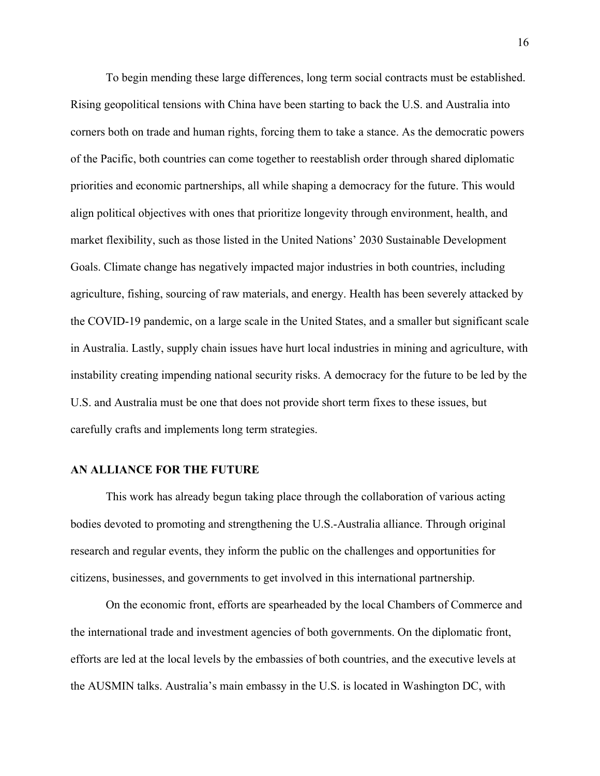To begin mending these large differences, long term social contracts must be established. Rising geopolitical tensions with China have been starting to back the U.S. and Australia into corners both on trade and human rights, forcing them to take a stance. As the democratic powers of the Pacific, both countries can come together to reestablish order through shared diplomatic priorities and economic partnerships, all while shaping a democracy for the future. This would align political objectives with ones that prioritize longevity through environment, health, and market flexibility, such as those listed in the United Nations' 2030 Sustainable Development Goals. Climate change has negatively impacted major industries in both countries, including agriculture, fishing, sourcing of raw materials, and energy. Health has been severely attacked by the COVID-19 pandemic, on a large scale in the United States, and a smaller but significant scale in Australia. Lastly, supply chain issues have hurt local industries in mining and agriculture, with instability creating impending national security risks. A democracy for the future to be led by the U.S. and Australia must be one that does not provide short term fixes to these issues, but carefully crafts and implements long term strategies.

#### **AN ALLIANCE FOR THE FUTURE**

This work has already begun taking place through the collaboration of various acting bodies devoted to promoting and strengthening the U.S.-Australia alliance. Through original research and regular events, they inform the public on the challenges and opportunities for citizens, businesses, and governments to get involved in this international partnership.

On the economic front, efforts are spearheaded by the local Chambers of Commerce and the international trade and investment agencies of both governments. On the diplomatic front, efforts are led at the local levels by the embassies of both countries, and the executive levels at the AUSMIN talks. Australia's main embassy in the U.S. is located in Washington DC, with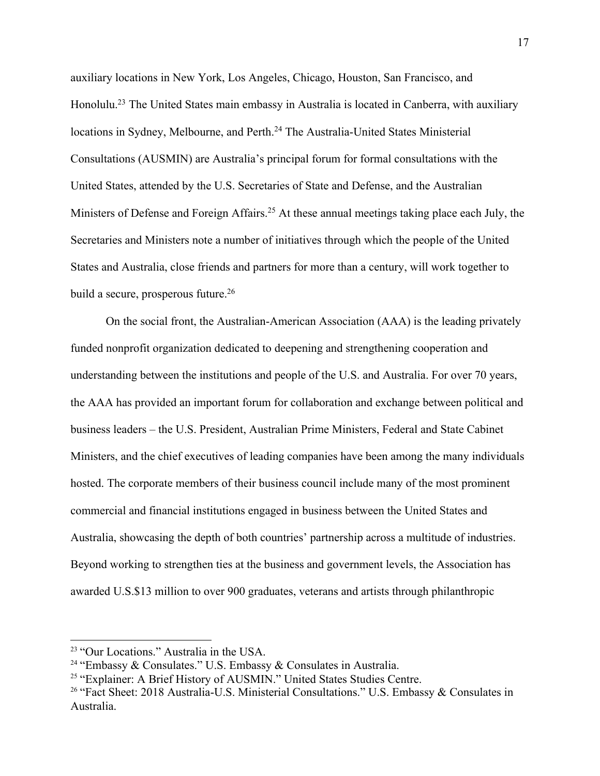auxiliary locations in New York, Los Angeles, Chicago, Houston, San Francisco, and Honolulu.<sup>23</sup> The United States main embassy in Australia is located in Canberra, with auxiliary locations in Sydney, Melbourne, and Perth.<sup>24</sup> The Australia-United States Ministerial Consultations (AUSMIN) are Australia's principal forum for formal consultations with the United States, attended by the U.S. Secretaries of State and Defense, and the Australian Ministers of Defense and Foreign Affairs.<sup>25</sup> At these annual meetings taking place each July, the Secretaries and Ministers note a number of initiatives through which the people of the United States and Australia, close friends and partners for more than a century, will work together to build a secure, prosperous future.<sup>26</sup>

On the social front, the Australian-American Association (AAA) is the leading privately funded nonprofit organization dedicated to deepening and strengthening cooperation and understanding between the institutions and people of the U.S. and Australia. For over 70 years, the AAA has provided an important forum for collaboration and exchange between political and business leaders – the U.S. President, Australian Prime Ministers, Federal and State Cabinet Ministers, and the chief executives of leading companies have been among the many individuals hosted. The corporate members of their business council include many of the most prominent commercial and financial institutions engaged in business between the United States and Australia, showcasing the depth of both countries' partnership across a multitude of industries. Beyond working to strengthen ties at the business and government levels, the Association has awarded U.S.\$13 million to over 900 graduates, veterans and artists through philanthropic

<sup>&</sup>lt;sup>23</sup> "Our Locations." Australia in the USA.

<sup>&</sup>lt;sup>24</sup> "Embassy & Consulates." U.S. Embassy & Consulates in Australia.

<sup>&</sup>lt;sup>25</sup> "Explainer: A Brief History of AUSMIN." United States Studies Centre.

<sup>&</sup>lt;sup>26</sup> "Fact Sheet: 2018 Australia-U.S. Ministerial Consultations." U.S. Embassy & Consulates in Australia.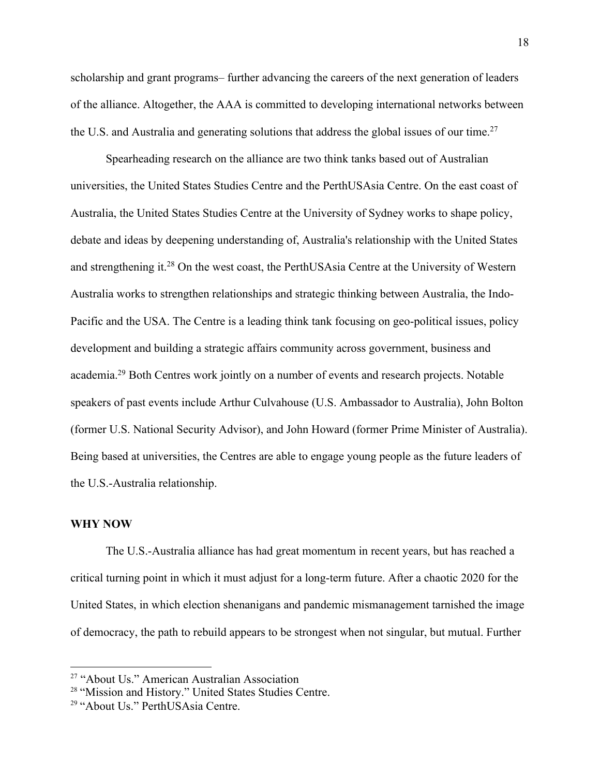scholarship and grant programs– further advancing the careers of the next generation of leaders of the alliance. Altogether, the AAA is committed to developing international networks between the U.S. and Australia and generating solutions that address the global issues of our time.<sup>27</sup>

Spearheading research on the alliance are two think tanks based out of Australian universities, the United States Studies Centre and the PerthUSAsia Centre. On the east coast of Australia, the United States Studies Centre at the University of Sydney works to shape policy, debate and ideas by deepening understanding of, Australia's relationship with the United States and strengthening it.<sup>28</sup> On the west coast, the PerthUSAsia Centre at the University of Western Australia works to strengthen relationships and strategic thinking between Australia, the Indo-Pacific and the USA. The Centre is a leading think tank focusing on geo-political issues, policy development and building a strategic affairs community across government, business and academia.29 Both Centres work jointly on a number of events and research projects. Notable speakers of past events include Arthur Culvahouse (U.S. Ambassador to Australia), John Bolton (former U.S. National Security Advisor), and John Howard (former Prime Minister of Australia). Being based at universities, the Centres are able to engage young people as the future leaders of the U.S.-Australia relationship.

#### **WHY NOW**

The U.S.-Australia alliance has had great momentum in recent years, but has reached a critical turning point in which it must adjust for a long-term future. After a chaotic 2020 for the United States, in which election shenanigans and pandemic mismanagement tarnished the image of democracy, the path to rebuild appears to be strongest when not singular, but mutual. Further

<sup>&</sup>lt;sup>27</sup> "About Us." American Australian Association

<sup>28</sup> "Mission and History." United States Studies Centre.

<sup>29</sup> "About Us." PerthUSAsia Centre.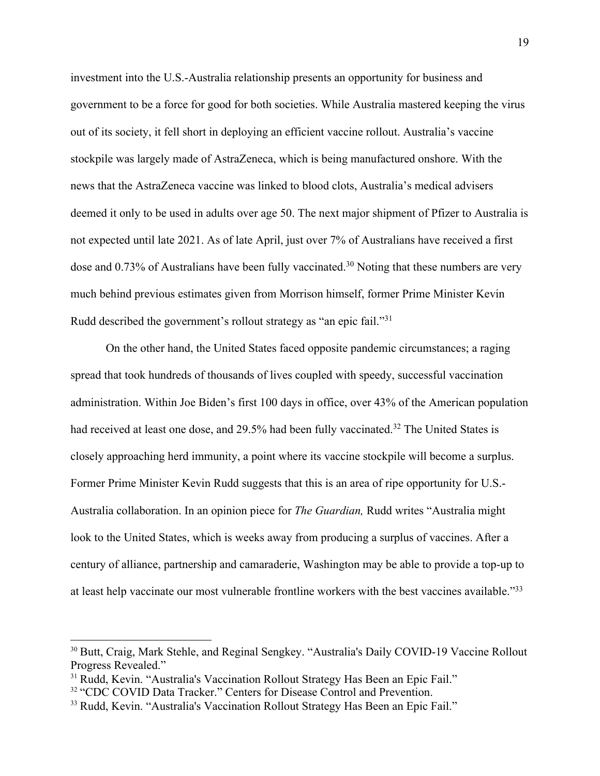investment into the U.S.-Australia relationship presents an opportunity for business and government to be a force for good for both societies. While Australia mastered keeping the virus out of its society, it fell short in deploying an efficient vaccine rollout. Australia's vaccine stockpile was largely made of AstraZeneca, which is being manufactured onshore. With the news that the AstraZeneca vaccine was linked to blood clots, Australia's medical advisers deemed it only to be used in adults over age 50. The next major shipment of Pfizer to Australia is not expected until late 2021. As of late April, just over 7% of Australians have received a first dose and 0.73% of Australians have been fully vaccinated.<sup>30</sup> Noting that these numbers are very much behind previous estimates given from Morrison himself, former Prime Minister Kevin Rudd described the government's rollout strategy as "an epic fail."31

On the other hand, the United States faced opposite pandemic circumstances; a raging spread that took hundreds of thousands of lives coupled with speedy, successful vaccination administration. Within Joe Biden's first 100 days in office, over 43% of the American population had received at least one dose, and 29.5% had been fully vaccinated.<sup>32</sup> The United States is closely approaching herd immunity, a point where its vaccine stockpile will become a surplus. Former Prime Minister Kevin Rudd suggests that this is an area of ripe opportunity for U.S.- Australia collaboration. In an opinion piece for *The Guardian,* Rudd writes "Australia might look to the United States, which is weeks away from producing a surplus of vaccines. After a century of alliance, partnership and camaraderie, Washington may be able to provide a top-up to at least help vaccinate our most vulnerable frontline workers with the best vaccines available."33

<sup>&</sup>lt;sup>30</sup> Butt, Craig, Mark Stehle, and Reginal Sengkey. "Australia's Daily COVID-19 Vaccine Rollout Progress Revealed."

<sup>&</sup>lt;sup>31</sup> Rudd, Kevin. "Australia's Vaccination Rollout Strategy Has Been an Epic Fail."

<sup>&</sup>lt;sup>32</sup> "CDC COVID Data Tracker." Centers for Disease Control and Prevention.

<sup>&</sup>lt;sup>33</sup> Rudd, Kevin. "Australia's Vaccination Rollout Strategy Has Been an Epic Fail."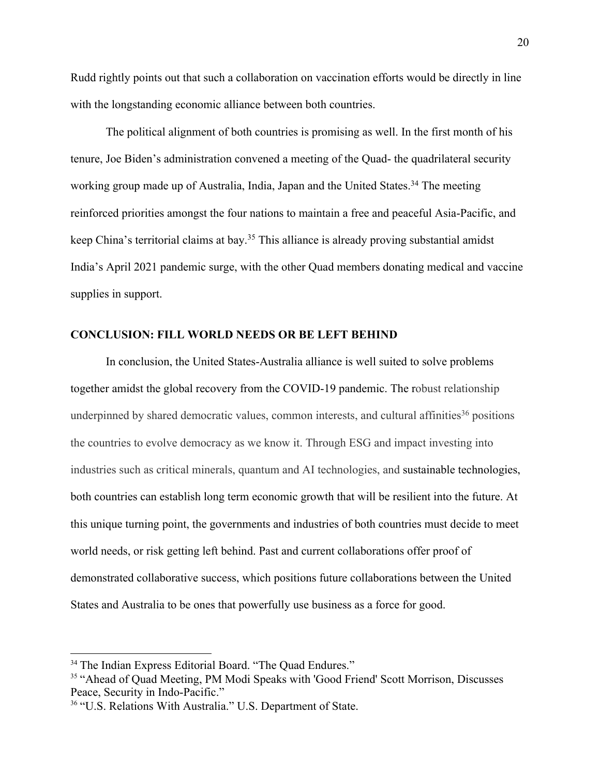Rudd rightly points out that such a collaboration on vaccination efforts would be directly in line with the longstanding economic alliance between both countries.

The political alignment of both countries is promising as well. In the first month of his tenure, Joe Biden's administration convened a meeting of the Quad- the quadrilateral security working group made up of Australia, India, Japan and the United States.<sup>34</sup> The meeting reinforced priorities amongst the four nations to maintain a free and peaceful Asia-Pacific, and keep China's territorial claims at bay.35 This alliance is already proving substantial amidst India's April 2021 pandemic surge, with the other Quad members donating medical and vaccine supplies in support.

#### **CONCLUSION: FILL WORLD NEEDS OR BE LEFT BEHIND**

In conclusion, the United States-Australia alliance is well suited to solve problems together amidst the global recovery from the COVID-19 pandemic. The robust relationship underpinned by shared democratic values, common interests, and cultural affinities<sup>36</sup> positions the countries to evolve democracy as we know it. Through ESG and impact investing into industries such as critical minerals, quantum and AI technologies, and sustainable technologies, both countries can establish long term economic growth that will be resilient into the future. At this unique turning point, the governments and industries of both countries must decide to meet world needs, or risk getting left behind. Past and current collaborations offer proof of demonstrated collaborative success, which positions future collaborations between the United States and Australia to be ones that powerfully use business as a force for good.

<sup>&</sup>lt;sup>34</sup> The Indian Express Editorial Board. "The Quad Endures."

<sup>&</sup>lt;sup>35</sup> "Ahead of Quad Meeting, PM Modi Speaks with 'Good Friend' Scott Morrison, Discusses Peace, Security in Indo-Pacific."

<sup>&</sup>lt;sup>36</sup> "U.S. Relations With Australia." U.S. Department of State.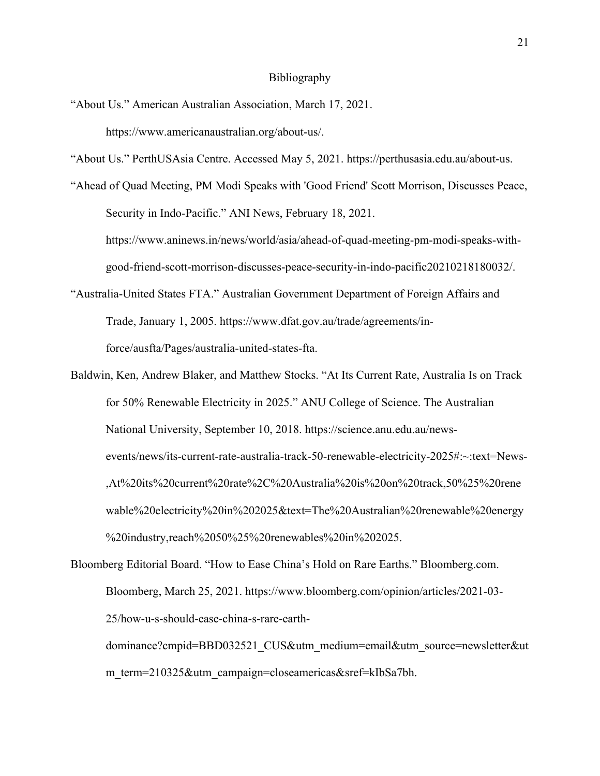#### Bibliography

"About Us." American Australian Association, March 17, 2021. https://www.americanaustralian.org/about-us/.

"About Us." PerthUSAsia Centre. Accessed May 5, 2021. https://perthusasia.edu.au/about-us.

"Ahead of Quad Meeting, PM Modi Speaks with 'Good Friend' Scott Morrison, Discusses Peace, Security in Indo-Pacific." ANI News, February 18, 2021.

https://www.aninews.in/news/world/asia/ahead-of-quad-meeting-pm-modi-speaks-withgood-friend-scott-morrison-discusses-peace-security-in-indo-pacific20210218180032/.

- "Australia-United States FTA." Australian Government Department of Foreign Affairs and Trade, January 1, 2005. https://www.dfat.gov.au/trade/agreements/inforce/ausfta/Pages/australia-united-states-fta.
- Baldwin, Ken, Andrew Blaker, and Matthew Stocks. "At Its Current Rate, Australia Is on Track for 50% Renewable Electricity in 2025." ANU College of Science. The Australian National University, September 10, 2018. https://science.anu.edu.au/newsevents/news/its-current-rate-australia-track-50-renewable-electricity-2025#:~:text=News- ,At%20its%20current%20rate%2C%20Australia%20is%20on%20track,50%25%20rene wable%20electricity%20in%202025&text=The%20Australian%20renewable%20energy %20industry,reach%2050%25%20renewables%20in%202025.
- Bloomberg Editorial Board. "How to Ease China's Hold on Rare Earths." Bloomberg.com. Bloomberg, March 25, 2021. https://www.bloomberg.com/opinion/articles/2021-03- 25/how-u-s-should-ease-china-s-rare-earth-

dominance?cmpid=BBD032521\_CUS&utm\_medium=email&utm\_source=newsletter&ut m term=210325&utm campaign=closeamericas&sref=kIbSa7bh.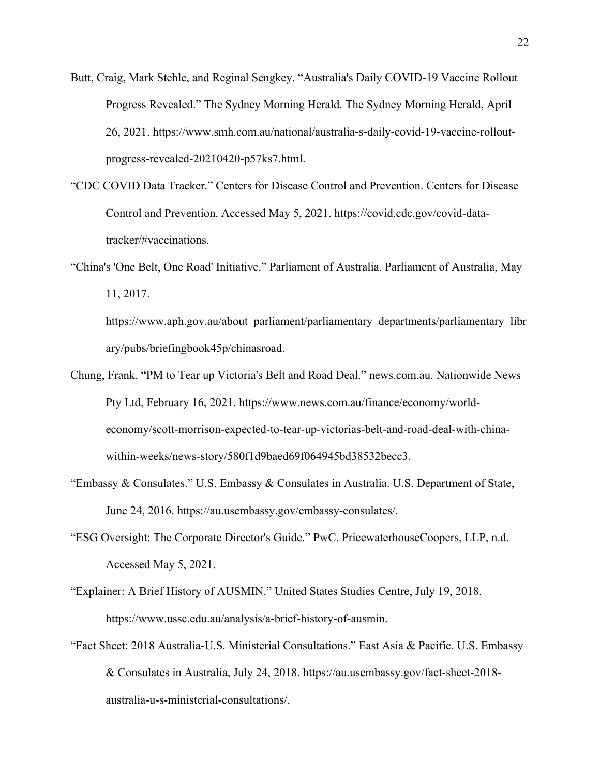- Butt, Craig, Mark Stehle, and Reginal Sengkey. "Australia's Daily COVID-19 Vaccine Rollout Progress Revealed." The Sydney Morning Herald. The Sydney Morning Herald, April 26, 2021. https://www.smh.com.au/national/australia-s-daily-covid-19-vaccine-rolloutprogress-revealed-20210420-p57ks7.html.
- "CDC COVID Data Tracker." Centers for Disease Control and Prevention. Centers for Disease Control and Prevention. Accessed May 5, 2021. https://covid.cdc.gov/covid-datatracker/#vaccinations.
- "China's 'One Belt, One Road' Initiative." Parliament of Australia. Parliament of Australia, May 11, 2017.

https://www.aph.gov.au/about\_parliament/parliamentary\_departments/parliamentary\_libr ary/pubs/briefingbook45p/chinasroad.

- Chung, Frank. "PM to Tear up Victoria's Belt and Road Deal." news.com.au. Nationwide News Pty Ltd, February 16, 2021. https://www.news.com.au/finance/economy/worldeconomy/scott-morrison-expected-to-tear-up-victorias-belt-and-road-deal-with-chinawithin-weeks/news-story/580f1d9baed69f064945bd38532becc3.
- "Embassy & Consulates." U.S. Embassy & Consulates in Australia. U.S. Department of State, June 24, 2016. https://au.usembassy.gov/embassy-consulates/.
- "ESG Oversight: The Corporate Director's Guide." PwC. PricewaterhouseCoopers, LLP, n.d. Accessed May 5, 2021.
- "Explainer: A Brief History of AUSMIN." United States Studies Centre, July 19, 2018. https://www.ussc.edu.au/analysis/a-brief-history-of-ausmin.
- "Fact Sheet: 2018 Australia-U.S. Ministerial Consultations." East Asia & Pacific. U.S. Embassy & Consulates in Australia, July 24, 2018. https://au.usembassy.gov/fact-sheet-2018 australia-u-s-ministerial-consultations/.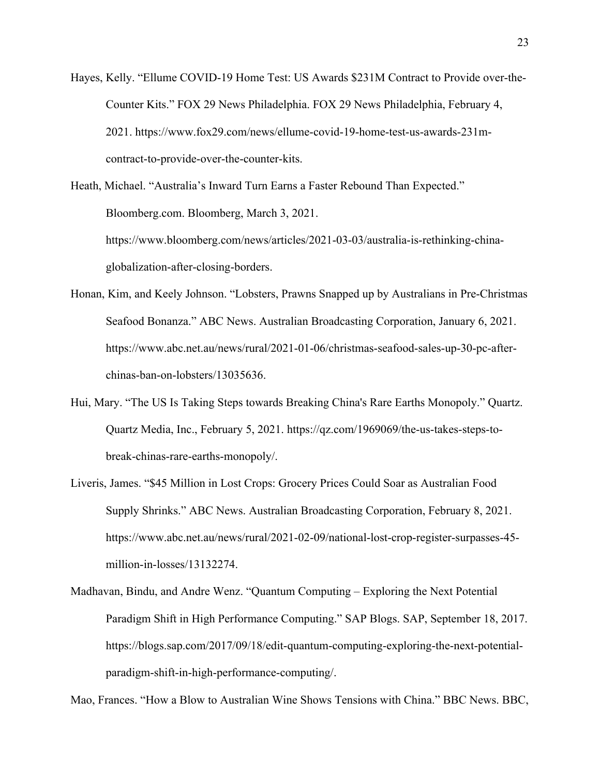Hayes, Kelly. "Ellume COVID-19 Home Test: US Awards \$231M Contract to Provide over-the-Counter Kits." FOX 29 News Philadelphia. FOX 29 News Philadelphia, February 4, 2021. https://www.fox29.com/news/ellume-covid-19-home-test-us-awards-231mcontract-to-provide-over-the-counter-kits.

Heath, Michael. "Australia's Inward Turn Earns a Faster Rebound Than Expected." Bloomberg.com. Bloomberg, March 3, 2021. https://www.bloomberg.com/news/articles/2021-03-03/australia-is-rethinking-chinaglobalization-after-closing-borders.

- Honan, Kim, and Keely Johnson. "Lobsters, Prawns Snapped up by Australians in Pre-Christmas Seafood Bonanza." ABC News. Australian Broadcasting Corporation, January 6, 2021. https://www.abc.net.au/news/rural/2021-01-06/christmas-seafood-sales-up-30-pc-afterchinas-ban-on-lobsters/13035636.
- Hui, Mary. "The US Is Taking Steps towards Breaking China's Rare Earths Monopoly." Quartz. Quartz Media, Inc., February 5, 2021. https://qz.com/1969069/the-us-takes-steps-tobreak-chinas-rare-earths-monopoly/.
- Liveris, James. "\$45 Million in Lost Crops: Grocery Prices Could Soar as Australian Food Supply Shrinks." ABC News. Australian Broadcasting Corporation, February 8, 2021. https://www.abc.net.au/news/rural/2021-02-09/national-lost-crop-register-surpasses-45 million-in-losses/13132274.
- Madhavan, Bindu, and Andre Wenz. "Quantum Computing Exploring the Next Potential Paradigm Shift in High Performance Computing." SAP Blogs. SAP, September 18, 2017. https://blogs.sap.com/2017/09/18/edit-quantum-computing-exploring-the-next-potentialparadigm-shift-in-high-performance-computing/.

Mao, Frances. "How a Blow to Australian Wine Shows Tensions with China." BBC News. BBC,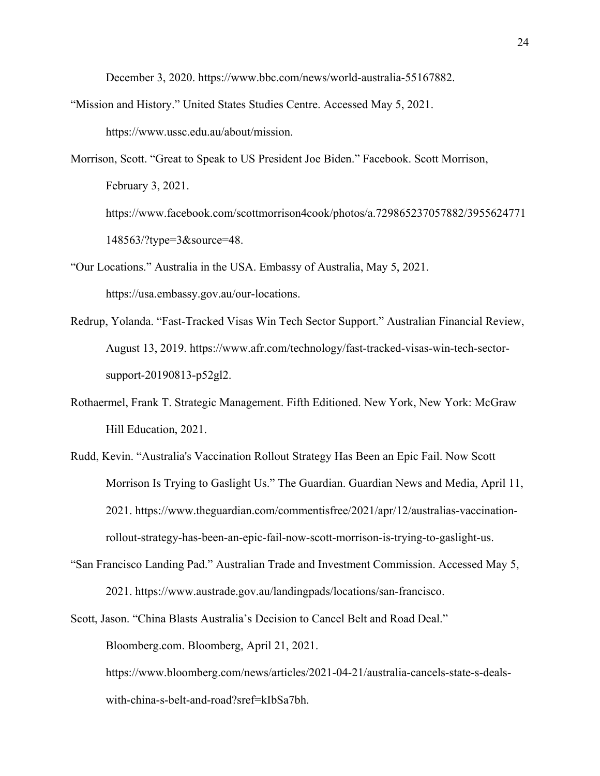December 3, 2020. https://www.bbc.com/news/world-australia-55167882.

- "Mission and History." United States Studies Centre. Accessed May 5, 2021. https://www.ussc.edu.au/about/mission.
- Morrison, Scott. "Great to Speak to US President Joe Biden." Facebook. Scott Morrison, February 3, 2021. https://www.facebook.com/scottmorrison4cook/photos/a.729865237057882/3955624771 148563/?type=3&source=48.
- "Our Locations." Australia in the USA. Embassy of Australia, May 5, 2021. https://usa.embassy.gov.au/our-locations.
- Redrup, Yolanda. "Fast-Tracked Visas Win Tech Sector Support." Australian Financial Review, August 13, 2019. https://www.afr.com/technology/fast-tracked-visas-win-tech-sectorsupport-20190813-p52gl2.
- Rothaermel, Frank T. Strategic Management. Fifth Editioned. New York, New York: McGraw Hill Education, 2021.
- Rudd, Kevin. "Australia's Vaccination Rollout Strategy Has Been an Epic Fail. Now Scott Morrison Is Trying to Gaslight Us." The Guardian. Guardian News and Media, April 11, 2021. https://www.theguardian.com/commentisfree/2021/apr/12/australias-vaccinationrollout-strategy-has-been-an-epic-fail-now-scott-morrison-is-trying-to-gaslight-us.
- "San Francisco Landing Pad." Australian Trade and Investment Commission. Accessed May 5, 2021. https://www.austrade.gov.au/landingpads/locations/san-francisco.
- Scott, Jason. "China Blasts Australia's Decision to Cancel Belt and Road Deal." Bloomberg.com. Bloomberg, April 21, 2021. https://www.bloomberg.com/news/articles/2021-04-21/australia-cancels-state-s-deals-

with-china-s-belt-and-road?sref=kIbSa7bh.